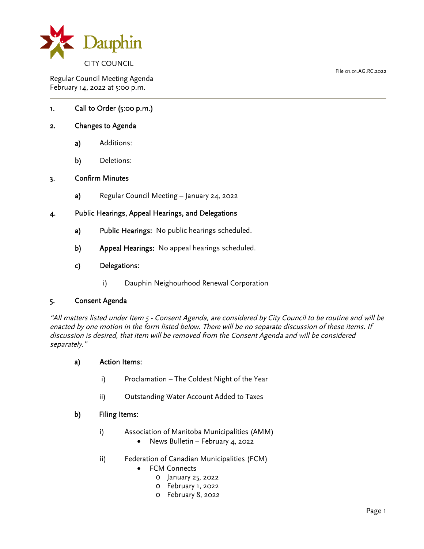

Regular Council Meeting Agenda February 14, 2022 at 5:00 p.m.

## 1. Call to Order (5:00 p.m.)

#### 2. Changes to Agenda

- a) Additions:
- b) Deletions:

#### 3. Confirm Minutes

a) Regular Council Meeting – January 24, 2022

#### 4. Public Hearings, Appeal Hearings, and Delegations

- a) Public Hearings: No public hearings scheduled.
- b) Appeal Hearings: No appeal hearings scheduled.

#### c) Delegations:

i) Dauphin Neighourhood Renewal Corporation

#### 5. Consent Agenda

"All matters listed under Item 5 - Consent Agenda, are considered by City Council to be routine and will be enacted by one motion in the form listed below. There will be no separate discussion of these items. If discussion is desired, that item will be removed from the Consent Agenda and will be considered separately."

#### a) Action Items:

- i) Proclamation The Coldest Night of the Year
- ii) Outstanding Water Account Added to Taxes

#### b) Filing Items:

- i) Association of Manitoba Municipalities (AMM)
	- News Bulletin February 4, 2022
- ii) Federation of Canadian Municipalities (FCM)
	- FCM Connects
		- o January 25, 2022
		- o February 1, 2022
		- o February 8, 2022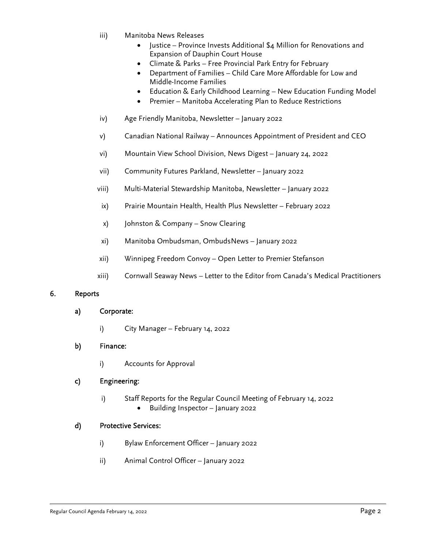- iii) Manitoba News Releases
	- Justice Province Invests Additional \$4 Million for Renovations and Expansion of Dauphin Court House
	- Climate & Parks Free Provincial Park Entry for February
	- Department of Families Child Care More Affordable for Low and Middle-Income Families
	- Education & Early Childhood Learning New Education Funding Model
	- Premier Manitoba Accelerating Plan to Reduce Restrictions
- iv) Age Friendly Manitoba, Newsletter January 2022
- v) Canadian National Railway Announces Appointment of President and CEO
- vi) Mountain View School Division, News Digest January 24, 2022
- vii) Community Futures Parkland, Newsletter January 2022
- viii) Multi-Material Stewardship Manitoba, Newsletter January 2022
- ix) Prairie Mountain Health, Health Plus Newsletter February 2022
- x) Johnston & Company Snow Clearing
- xi) Manitoba Ombudsman, OmbudsNews January 2022
- xii) Winnipeg Freedom Convoy Open Letter to Premier Stefanson
- xiii) Cornwall Seaway News Letter to the Editor from Canada's Medical Practitioners

## 6. Reports

## a) Corporate:

i) City Manager – February 14, 2022

## b) Finance:

i) Accounts for Approval

## c) Engineering:

- i) Staff Reports for the Regular Council Meeting of February 14, 2022
	- Building Inspector January 2022

## d) Protective Services:

- i) Bylaw Enforcement Officer January 2022
- ii) Animal Control Officer January 2022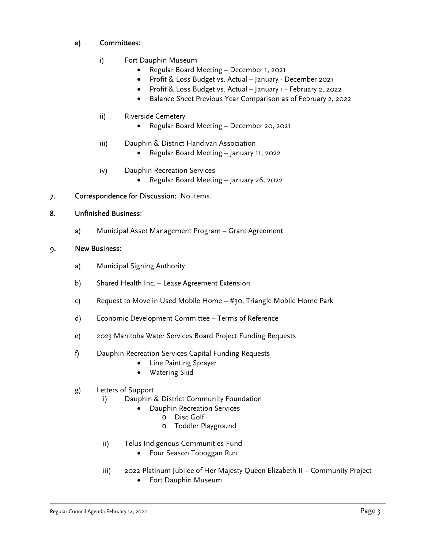# e) Committees:

- i) Fort Dauphin Museum
	- Regular Board Meeting December 1, 2021
	- Profit & Loss Budget vs. Actual January December 2021
	- Profit & Loss Budget vs. Actual January 1 February 2, 2022
	- **•** Balance Sheet Previous Year Comparison as of February 2, 2022
- ii) Riverside Cemetery
	- Regular Board Meeting December 20, 2021
- iii) Dauphin & District Handivan Association
	- Regular Board Meeting January 11, 2022
- iv) Dauphin Recreation Services
	- Regular Board Meeting January 26, 2022

# 7. Correspondence for Discussion: No items.

## 8. Unfinished Business:

a) Municipal Asset Management Program – Grant Agreement

#### 9. New Business:

- a) Municipal Signing Authority
- b) Shared Health Inc. Lease Agreement Extension
- c) Request to Move in Used Mobile Home #30, Triangle Mobile Home Park
- d) Economic Development Committee Terms of Reference
- e) 2023 Manitoba Water Services Board Project Funding Requests
- f) Dauphin Recreation Services Capital Funding Requests
	- Line Painting Sprayer
	- Watering Skid

## g) Letters of Support

- i) Dauphin & District Community Foundation
	- Dauphin Recreation Services
		- o Disc Golf
		- o Toddler Playground
- ii) Telus Indigenous Communities Fund
	- Four Season Toboggan Run
- iii) 2022 Platinum Jubilee of Her Majesty Queen Elizabeth II Community Project
	- Fort Dauphin Museum